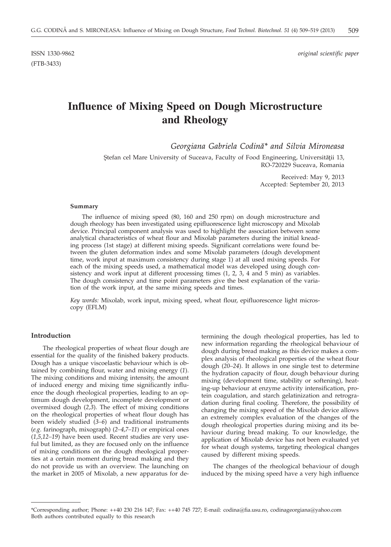(FTB-3433)

ISSN 1330-9862 *original scientific paper*

# **Influence of Mixing Speed on Dough Microstructure and Rheology**

*Georgiana Gabriela Codinah\* and Silvia Mironeasa*

Stefan cel Mare University of Suceava, Faculty of Food Engineering, Universității 13, RO-720229 Suceava, Romania

> Received: May 9, 2013 Accepted: September 20, 2013

#### **Summary**

The influence of mixing speed (80, 160 and 250 rpm) on dough microstructure and dough rheology has been investigated using epifluorescence light microscopy and Mixolab device. Principal component analysis was used to highlight the association between some analytical characteristics of wheat flour and Mixolab parameters during the initial kneading process (1st stage) at different mixing speeds. Significant correlations were found between the gluten deformation index and some Mixolab parameters (dough development time, work input at maximum consistency during stage 1) at all used mixing speeds. For each of the mixing speeds used, a mathematical model was developed using dough consistency and work input at different processing times (1, 2, 3, 4 and 5 min) as variables. The dough consistency and time point parameters give the best explanation of the variation of the work input, at the same mixing speeds and times.

*Key words:* Mixolab, work input, mixing speed, wheat flour, epifluorescence light microscopy (EFLM)

### **Introduction**

The rheological properties of wheat flour dough are essential for the quality of the finished bakery products. Dough has a unique viscoelastic behaviour which is obtained by combining flour, water and mixing energy (*1*). The mixing conditions and mixing intensity, the amount of induced energy and mixing time significantly influence the dough rheological properties, leading to an optimum dough development, incomplete development or overmixed dough (*2,3*). The effect of mixing conditions on the rheological properties of wheat flour dough has been widely studied (*3–6*) and traditional instruments (*e.g*. farinograph, mixograph) (*2–4,7–11*) or empirical ones (*1,5,12–19*) have been used. Recent studies are very useful but limited, as they are focused only on the influence of mixing conditions on the dough rheological properties at a certain moment during bread making and they do not provide us with an overview. The launching on the market in 2005 of Mixolab, a new apparatus for determining the dough rheological properties, has led to new information regarding the rheological behaviour of dough during bread making as this device makes a complex analysis of rheological properties of the wheat flour dough (*20–24*). It allows in one single test to determine the hydration capacity of flour, dough behaviour during mixing (development time, stability or softening), heating-up behaviour at enzyme activity intensification, protein coagulation, and starch gelatinization and retrogradation during final cooling. Therefore, the possibility of changing the mixing speed of the Mixolab device allows an extremely complex evaluation of the changes of the dough rheological properties during mixing and its behaviour during bread making. To our knowledge, the application of Mixolab device has not been evaluated yet for wheat dough systems, targeting rheological changes caused by different mixing speeds.

The changes of the rheological behaviour of dough induced by the mixing speed have a very high influence

<sup>\*</sup>Corresponding author; Phone: ++40 230 216 147; Fax: ++40 745 727; E-mail: codina@fia.usu.ro, codinageorgiana@yahoo.com Both authors contributed equally to this research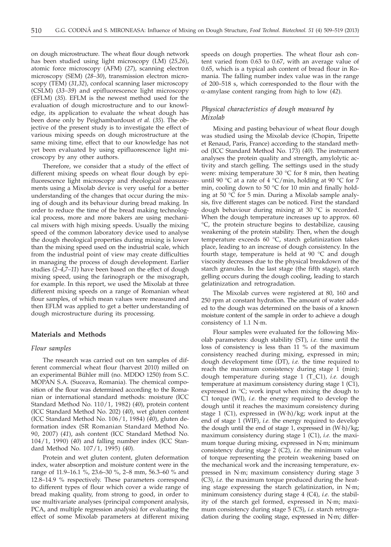on dough microstructure. The wheat flour dough network has been studied using light microscopy (LM) (*25,26*), atomic force microscopy (AFM) (*27*), scanning electron microscopy (SEM) (*28–30*), transmission electron microscopy (TEM) (*31,32*), confocal scanning laser microscopy (CSLM) (*33–39*) and epifluorescence light microscopy (EFLM) (*35*). EFLM is the newest method used for the evaluation of dough microstructure and to our knowledge, its application to evaluate the wheat dough has been done only by Peighambardoust *et al.* (*35*). The objective of the present study is to investigate the effect of various mixing speeds on dough microstructure at the same mixing time, effect that to our knowledge has not yet been evaluated by using epifluorescence light microscopy by any other authors.

Therefore, we consider that a study of the effect of different mixing speeds on wheat flour dough by epifluorescence light microscopy and rheological measurements using a Mixolab device is very useful for a better understanding of the changes that occur during the mixing of dough and its behaviour during bread making. In order to reduce the time of the bread making technological process, more and more bakers are using mechanical mixers with high mixing speeds. Usually the mixing speed of the common laboratory device used to analyse the dough rheological properties during mixing is lower than the mixing speed used on the industrial scale, which from the industrial point of view may create difficulties in managing the process of dough development. Earlier studies (*2–4*,*7–11*) have been based on the effect of dough mixing speed, using the farinograph or the mixograph, for example. In this report, we used the Mixolab at three different mixing speeds on a range of Romanian wheat flour samples, of which mean values were measured and then EFLM was applied to get a better understanding of dough microstructure during its processing.

# **Materials and Methods**

## *Flour samples*

The research was carried out on ten samples of different commercial wheat flour (harvest 2010) milled on an experimental Bühler mill (no. MDDO 1250) from S.C. MOPAN S.A. (Suceava, Romania). The chemical composition of the flour was determined according to the Romanian or international standard methods: moisture (ICC Standard Method No. 110/1, 1982) (*40*), protein content (ICC Standard Method No. 202) (*40*), wet gluten content (ICC Standard Method No. 106/1, 1984) (*40*), gluten deformation index (SR Romanian Standard Method No. 90, 2007) (*41*), ash content (ICC Standard Method No. 104/1, 1990) (*40*) and falling number index (ICC Standard Method No. 107/1, 1995) (*40*).

Protein and wet gluten content, gluten deformation index, water absorption and moisture content were in the range of 11.9–16.1 %, 23.6–30 %, 2–8 mm, 56.3–60 % and 12.8–14.9 % respectively. These parameters correspond to different types of flour which cover a wide range of bread making quality, from strong to good, in order to use multivariate analyses (principal component analysis, PCA, and multiple regression analysis) for evaluating the effect of some Mixolab parameters at different mixing

speeds on dough properties. The wheat flour ash content varied from 0.63 to 0.67, with an average value of 0.65, which is a typical ash content of bread flour in Romania. The falling number index value was in the range of 200–518 s, which corresponded to the flour with the a-amylase content ranging from high to low (*42*).

## *Physical characteristics of dough measured by Mixolab*

Mixing and pasting behaviour of wheat flour dough was studied using the Mixolab device (Chopin, Tripette et Renaud, Paris, France) according to the standard method (ICC Standard Method No. 173) (*40*). The instrument analyses the protein quality and strength, amylolytic activity and starch gelling. The settings used in the study were: mixing temperature 30 °C for 8 min, then heating until 90 °C at a rate of 4 °C/min, holding at 90 °C for 7 min, cooling down to 50 °C for 10 min and finally holding at 50 °C for 5 min. During a Mixolab sample analysis, five different stages can be noticed. First the standard dough behaviour during mixing at 30 °C is recorded. When the dough temperature increases up to approx. 60 °C, the protein structure begins to destabilize, causing weakening of the protein stability. Then, when the dough temperature exceeds 60 °C, starch gelatinization takes place, leading to an increase of dough consistency. In the fourth stage, temperature is held at  $90^{\circ}$ C and dough viscosity decreases due to the physical breakdown of the starch granules. In the last stage (the fifth stage), starch gelling occurs during the dough cooling, leading to starch gelatinization and retrogradation.

The Mixolab curves were registered at 80, 160 and 250 rpm at constant hydration. The amount of water added to the dough was determined on the basis of a known moisture content of the sample in order to achieve a dough consistency of 1.1 N·m.

Flour samples were evaluated for the following Mixolab parameters: dough stability (ST), *i.e.* time until the loss of consistency is less than 11 % of the maximum consistency reached during mixing, expressed in min; dough development time (DT), *i.e.* the time required to reach the maximum consistency during stage 1 (min); dough temperature during stage 1 (T\_C1), *i.e.* dough temperature at maximum consistency during stage 1 (C1), expressed in °C; work input when mixing the dough to C1 torque (WI), *i.e.* the energy required to develop the dough until it reaches the maximum consistency during stage 1 (C1), expressed in (W·h)/kg; work input at the end of stage 1 (WIF), *i.e.* the energy required to develop the dough until the end of stage 1, expressed in (W·h)/kg; maximum consistency during stage 1 (C1), *i.e.* the maximum torque during mixing, expressed in N·m; minimum consistency during stage 2 (C2), *i.e.* the minimum value of torque representing the protein weakening based on the mechanical work and the increasing temperature, expressed in N·m; maximum consistency during stage 3 (C3), *i.e.* the maximum torque produced during the heating stage expressing the starch gelatinization, in N·m; minimum consistency during stage 4 (C4), *i.e.* the stability of the starch gel formed, expressed in N·m; maximum consistency during stage 5 (C5), *i.e.* starch retrogradation during the cooling stage, expressed in N·m; differ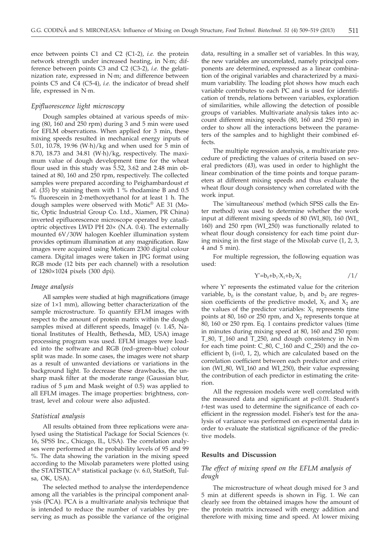ence between points C1 and C2 (C1-2), *i.e.* the protein network strength under increased heating, in N·m; difference between points C3 and C2 (C3-2), *i.e.* the gelatinization rate, expressed in N·m; and difference between points C5 and C4 (C5-4), *i.e.* the indicator of bread shelf life, expressed in N·m.

### *Epifluorescence light microscopy*

Dough samples obtained at various speeds of mixing (80, 160 and 250 rpm) during 3 and 5 min were used for EFLM observations. When applied for 3 min, these mixing speeds resulted in mechanical energy inputs of 5.01, 10.78, 19.96 (W·h)/kg and when used for 5 min of 8.70, 18.73 and 34.81 (W·h)/kg, respectively. The maximum value of dough development time for the wheat flour used in this study was 5.52, 3.62 and 2.48 min obtained at 80, 160 and 250 rpm, respectively. The collected samples were prepared according to Peighambardoust *et al.* (*35*) by staining them with 1 % rhodamine B and 0.5 % fluorescein in 2-methoxyethanol for at least 1 h. The dough samples were observed with Motic® AE 31 (Motic, Optic Industrial Group Co. Ltd., Xiamen, PR China) inverted epifluorescence microscope operated by catadioptric objectives LWD PH 20× (N.A. 0.4). The externally mounted 6V/30W halogen Koehler illumination system provides optimum illumination at any magnification. Raw images were acquired using Moticam 2300 digital colour camera. Digital images were taken in JPG format using RGB mode (12 bits per each channel) with a resolution of 1280×1024 pixels (300 dpi).

#### *Image analysis*

All samples were studied at high magnifications (image size of 1×1 mm), allowing better characterization of the sample microstructure. To quantify EFLM images with respect to the amount of protein matrix within the dough samples mixed at different speeds, ImageJ (v. 1.45, National Institutes of Health, Bethesda, MD, USA) image processing program was used. EFLM images were loaded into the software and RGB (red–green–blue) colour split was made. In some cases, the images were not sharp as a result of unwanted deviations or variations in the background light. To decrease these drawbacks, the unsharp mask filter at the moderate range (Gaussian blur, radius of  $5 \mu m$  and Mask weight of 0.5) was applied to all EFLM images. The image properties: brightness, contrast, level and colour were also adjusted.

#### *Statistical analysis*

All results obtained from three replications were analysed using the Statistical Package for Social Sciences (v. 16, SPSS Inc., Chicago, IL, USA). The correlation analyses were performed at the probability levels of 95 and 99 %. The data showing the variation in the mixing speed according to the Mixolab parameters were plotted using the STATISTICA® statistical package (v. 6.0, StatSoft, Tulsa, OK, USA).

The selected method to analyse the interdependence among all the variables is the principal component analysis (PCA). PCA is a multivariate analysis technique that is intended to reduce the number of variables by preserving as much as possible the variance of the original data, resulting in a smaller set of variables. In this way, the new variables are uncorrelated, namely principal components are determined, expressed as a linear combination of the original variables and characterized by a maximum variability. The loading plot shows how much each variable contributes to each PC and is used for identification of trends, relations between variables, exploration of similarities, while allowing the detection of possible groups of variables. Multivariate analysis takes into account different mixing speeds (80, 160 and 250 rpm) in order to show all the interactions between the parameters of the samples and to highlight their combined effects.

The multiple regression analysis, a multivariate procedure of predicting the values of criteria based on several predictors (*43*), was used in order to highlight the linear combination of the time points and torque parameters at different mixing speeds and thus evaluate the wheat flour dough consistency when correlated with the work input.

The 'simultaneous' method (which SPSS calls the Enter method) was used to determine whether the work input at different mixing speeds of 80 (WI\_80), 160 (WI\_ 160) and 250 rpm (WI\_250) was functionally related to wheat flour dough consistency for each time point during mixing in the first stage of the Mixolab curve (1, 2, 3, 4 and 5 min).

For multiple regression, the following equation was used:

$$
Y'=b_0+b_1 \cdot X_1+b_2 \cdot X_2 \qquad \qquad /1/
$$

where Y' represents the estimated value for the criterion variable,  $b_0$  is the constant value,  $b_1$  and  $b_2$  are regression coefficients of the predictive model,  $X_1$  and  $X_2$  are the values of the predictor variables:  $X_1$  represents time points at 80, 160 or 250 rpm, and  $X_2$  represents torque at 80, 160 or 250 rpm. Eq. 1 contains predictor values (time in minutes during mixing speed at 80, 160 and 250 rpm: T\_80, T\_160 and T\_250, and dough consistency in N·m for each time point: C\_80, C\_160 and C\_250) and the coefficient  $b_i$  (i=0, 1, 2), which are calculated based on the correlation coefficient between each predictor and criterion (WI\_80, WI\_160 and WI\_250), their value expressing the contribution of each predictor in estimating the criterion.

All the regression models were well correlated with the measured data and significant at p*<*0*.*01. Student's *t*-test was used to determine the significance of each coefficient in the regression model. Fisher's test for the analysis of variance was performed on experimental data in order to evaluate the statistical significance of the predictive models.

## **Results and Discussion**

# *The effect of mixing speed on the EFLM analysis of dough*

The microstructure of wheat dough mixed for 3 and 5 min at different speeds is shown in Fig. 1. We can clearly see from the obtained images how the amount of the protein matrix increased with energy addition and therefore with mixing time and speed. At lower mixing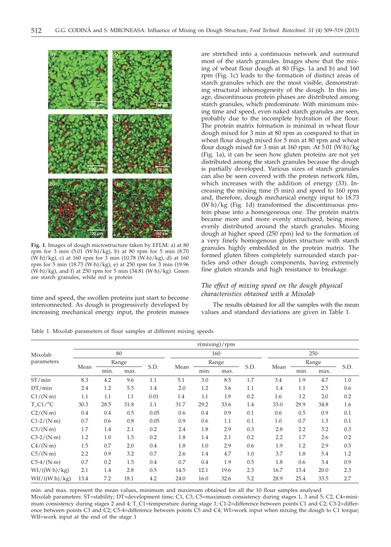

**Fig. 1.** Images of dough microstructure taken by EFLM: a) at 80 rpm for 3 min (5.01 (W·h)/kg), b) at 80 rpm for 5 min (8.70 (W·h)/kg), c) at 160 rpm for 3 min (10.78 (W·h)/kg), d) at 160 rpm for 5 min (18.73 (W·h)/kg), e) at 250 rpm for 3 min (19.96 (W·h)/kg), and f) at 250 rpm for 5 min (34.81 (W·h)/kg). Green are starch granules, while red is protein

time and speed, the swollen proteins just start to become interconnected. As dough is progressively developed by increasing mechanical energy input, the protein masses are stretched into a continuous network and surround most of the starch granules. Images show that the mixing of wheat flour dough at 80 (Figs. 1a and b) and 160 rpm (Fig. 1c) leads to the formation of distinct areas of starch granules which are the most visible, demonstrating structural inhomogeneity of the dough. In this image, discontinuous protein phases are distributed among starch granules, which predominate. With minimum mixing time and speed, even naked starch granules are seen, probably due to the incomplete hydration of the flour. The protein matrix formation is minimal in wheat flour dough mixed for 3 min at 80 rpm as compared to that in wheat flour dough mixed for 5 min at 80 rpm and wheat flour dough mixed for 3 min at 160 rpm. At 5.01 (W·h)/kg (Fig. 1a), it can be seen how gluten proteins are not yet distributed among the starch granules because the dough is partially developed. Various sizes of starch granules can also be seen covered with the protein network film, which increases with the addition of energy (*33*). Increasing the mixing time (5 min) and speed to 160 rpm and, therefore, dough mechanical energy input to 18.73 (W·h)/kg (Fig. 1d) transformed the discontinuous protein phase into a homogeneous one. The protein matrix became more and more evenly structured, being more evenly distributed around the starch granules. Mixing dough at higher speed (250 rpm) led to the formation of a very finely homogenous gluten structure with starch granules highly embedded in the protein matrix. The formed gluten fibres completely surrounded starch particles and other dough components, having extremely fine gluten strands and high resistance to breakage.

# *The effect of mixing speed on the dough physical characteristics obtained with a Mixolab*

The results obtained for all the samples with the mean values and standard deviations are given in Table 1.

Table 1. Mixolab parameters of flour samples at different mixing speeds

|                        | $v$ (mixing)/rpm |       |      |         |      |       |      |      |      |       |      |      |
|------------------------|------------------|-------|------|---------|------|-------|------|------|------|-------|------|------|
| Mixolab<br>parameters  | 80               |       |      |         | 160  |       |      |      | 250  |       |      |      |
|                        |                  | Range |      |         |      | Range |      |      |      | Range |      |      |
|                        | Mean             | min.  | max. | S.D.    | Mean | min.  | max. | S.D. | Mean | min.  | max. | S.D. |
| ST/min                 | 8.3              | 4.2   | 9.6  | 1.1     | 5.1  | 3.0   | 8.5  | 1.7  | 3.4  | 1.9   | 4.7  | 1.0  |
| DT/min                 | 2.4              | 1.2   | 5.5  | 1.4     | 2.0  | 1.2   | 3.6  | 1.1  | 1.4  | 1.1   | 2.5  | 0.6  |
| $C1/(N \cdot m)$       | 1.1              | 1.1   | 1.1  | 0.01    | 1.4  | 1.1   | 1.9  | 0.2  | 1.6  | 1.2   | 2.0  | 0.2  |
| $T$ C1/ <sup>o</sup> C | 30.3             | 28.5  | 31.8 | 1.1     | 31.7 | 29.2  | 33.6 | 1.4  | 33.0 | 29.9  | 34.8 | 1.6  |
| $C2/(N \cdot m)$       | 0.4              | 0.4   | 0.5  | 0.05    | 0.6  | 0.4   | 0.9  | 0.1  | 0.6  | 0.5   | 0.9  | 0.1  |
| $C1-2/(N·m)$           | 0.7              | 0.6   | 0.8  | 0.05    | 0.9  | 0.6   | 1.1  | 0.1  | 1.0  | 0.7   | 1.3  | 0.1  |
| C3/(N·m)               | 1.7              | 1.4   | 2.1  | 0.2     | 2.4  | 1.8   | 2.9  | 0.3  | 2.8  | 2.2   | 3.2  | 0.3  |
| $C3-2/(N·m)$           | 1.2              | 1.0   | 1.5  | 0.2     | 1.8  | 1.4   | 2.1  | 0.2  | 2.2  | 1.7   | 2.6  | 0.2  |
| $C4/(N \cdot m)$       | 1.5              | 0.7   | 2.0  | 0.4     | 1.8  | 1.0   | 2.9  | 0.6  | 1.9  | 1.2   | 2.9  | 0.5  |
| C5/(N·m)               | 2.2              | 0.9   | 3.2  | 0.7     | 2.6  | 1.4   | 4.7  | 1.0  | 3.7  | 1.8   | 5.4  | 1.2  |
| $C5-4/(N \cdot m)$     | 0.7              | 0.2   | 1.5  | $0.4\,$ | 0.7  | 0.4   | 1.9  | 0.5  | 1.8  | 0.6   | 3.4  | 0.9  |
| WI/((W·h)/kg)          | 2.1              | 1.4   | 2.8  | 0.5     | 14.5 | 12.1  | 19.6 | 2.3  | 16.7 | 13.4  | 20.0 | 2.3  |
| WIf/((W·h)/kg)         | 13.4             | 7.2   | 18.1 | 4.2     | 24.0 | 16.0  | 32.6 | 5.2  | 28.9 | 25.4  | 33.5 | 2.7  |

min. and max. represent the mean values, minimum and maximum obtained for all the 10 flour samples analysed Mixolab parameters: ST=stability; DT=development time; C1, C3, C5=maximum consistency during stages 1, 3 and 5; C2, C4=minimum consistency during stages 2 and 4; T\_C1=temperature during stage 1; C1-2=difference between points C1 and C2; C3-2=difference between points C3 and C2; C5-4=difference between points C5 and C4; WI=work input when mixing the dough to C1 torque; WIf=work input at the end of the stage 1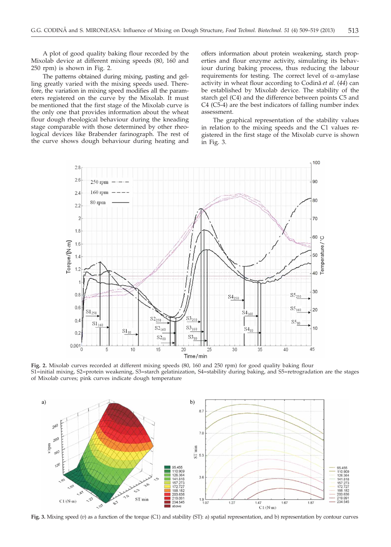A plot of good quality baking flour recorded by the Mixolab device at different mixing speeds (80, 160 and 250 rpm) is shown in Fig. 2.

The patterns obtained during mixing, pasting and gelling greatly varied with the mixing speeds used. Therefore, the variation in mixing speed modifies all the parameters registered on the curve by the Mixolab. It must be mentioned that the first stage of the Mixolab curve is the only one that provides information about the wheat flour dough rheological behaviour during the kneading stage comparable with those determined by other rheological devices like Brabender farinograph. The rest of the curve shows dough behaviour during heating and

offers information about protein weakening, starch properties and flour enzyme activity, simulating its behaviour during baking process, thus reducing the labour requirements for testing. The correct level of  $\alpha$ -amylase activity in wheat flour according to Codină et al. (44) can be established by Mixolab device. The stability of the starch gel (C4) and the difference between points C5 and C4 (C5-4) are the best indicators of falling number index assessment.

The graphical representation of the stability values in relation to the mixing speeds and the C1 values registered in the first stage of the Mixolab curve is shown in Fig. 3.



**Fig. 2.** Mixolab curves recorded at different mixing speeds (80, 160 and 250 rpm) for good quality baking flour S1=initial mixing, S2=protein weakening, S3=starch gelatinization, S4=stability during baking, and S5=retrogradation are the stages of Mixolab curves; pink curves indicate dough temperature



**Fig. 3.** Mixing speed (*v*) as a function of the torque (C1) and stability (ST): a) spatial representation, and b) representation by contour curves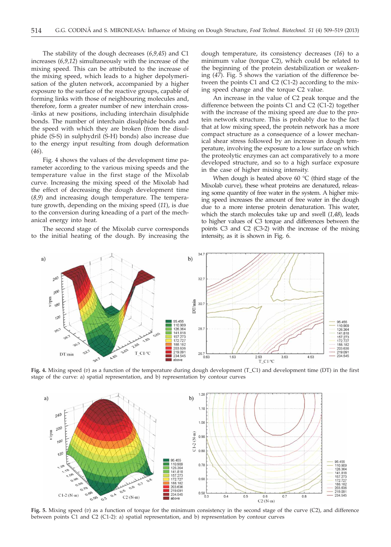The stability of the dough decreases (*6,9,45*) and C1 increases (*6,9,12*) simultaneously with the increase of the mixing speed. This can be attributed to the increase of the mixing speed, which leads to a higher depolymerisation of the gluten network, accompanied by a higher exposure to the surface of the reactive groups, capable of forming links with those of neighbouring molecules and, therefore, form a greater number of new interchain cross- -links at new positions, including interchain disulphide bonds. The number of interchain disulphide bonds and the speed with which they are broken (from the disulphide (S-S) in sulphydril (S-H) bonds) also increase due to the energy input resulting from dough deformation (*46*).

Fig. 4 shows the values of the development time parameter according to the various mixing speeds and the temperature value in the first stage of the Mixolab curve. Increasing the mixing speed of the Mixolab had the effect of decreasing the dough development time (*8,9*) and increasing dough temperature. The temperature growth, depending on the mixing speed (*11*), is due to the conversion during kneading of a part of the mechanical energy into heat.

The second stage of the Mixolab curve corresponds to the initial heating of the dough. By increasing the dough temperature, its consistency decreases (*16*) to a minimum value (torque C2), which could be related to the beginning of the protein destabilization or weakening (*47*). Fig. 5 shows the variation of the difference between the points C1 and C2 (C1-2) according to the mixing speed change and the torque C2 value.

An increase in the value of C2 peak torque and the difference between the points C1 and C2 (C1-2) together with the increase of the mixing speed are due to the protein network structure. This is probably due to the fact that at low mixing speed, the protein network has a more compact structure as a consequence of a lower mechanical shear stress followed by an increase in dough temperature, involving the exposure to a low surface on which the proteolytic enzymes can act comparatively to a more developed structure, and so to a high surface exposure in the case of higher mixing intensity.

When dough is heated above  $60^{\circ}$ C (third stage of the Mixolab curve), these wheat proteins are denatured, releasing some quantity of free water in the system. A higher mixing speed increases the amount of free water in the dough due to a more intense protein denaturation. This water, which the starch molecules take up and swell (*1,48*), leads to higher values of C3 torque and differences between the points C3 and C2 (C3-2) with the increase of the mixing intensity, as it is shown in Fig. 6.



**Fig. 4.** Mixing speed (*v*) as a function of the temperature during dough development (T\_C1) and development time (DT) in the first stage of the curve: a) spatial representation, and b) representation by contour curves



**Fig. 5.** Mixing speed (*v*) as a function of torque for the minimum consistency in the second stage of the curve (C2), and difference between points C1 and C2 (C1-2): a) spatial representation, and b) representation by contour curves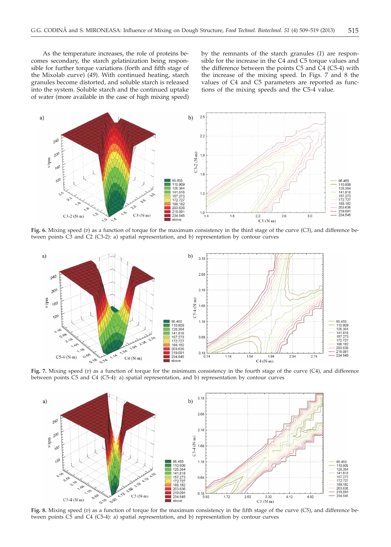As the temperature increases, the role of proteins becomes secondary, the starch gelatinization being responsible for further torque variations (forth and fifth stage of the Mixolab curve) (*49*). With continued heating, starch granules become distorted, and soluble starch is released into the system. Soluble starch and the continued uptake of water (more available in the case of high mixing speed) by the remnants of the starch granules (*1*) are responsible for the increase in the C4 and C5 torque values and the difference between the points C5 and  $\dot{C}4$  (C5-4) with the increase of the mixing speed. In Figs. 7 and 8 the values of C4 and C5 parameters are reported as functions of the mixing speeds and the C5-4 value.



**Fig. 6.** Mixing speed (*v*) as a function of torque for the maximum consistency in the third stage of the curve (C3), and difference between points C3 and C2 (C3-2): a) spatial representation, and b) representation by contour curves



**Fig. 7.** Mixing speed (*v*) as a function of torque for the minimum consistency in the fourth stage of the curve (C4), and difference between points C5 and C4 (C5-4): a) spatial representation, and b) representation by contour curves



**Fig. 8.** Mixing speed (*v*) as a function of torque for the maximum consistency in the fifth stage of the curve (C5), and difference between points C5 and C4 (C5-4): a) spatial representation, and b) representation by contour curves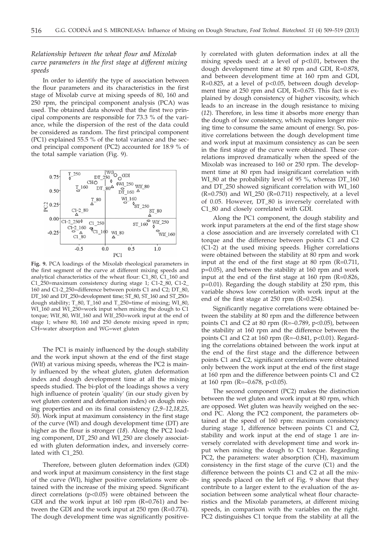# *Relationship between the wheat flour and Mixolab curve parameters in the first stage at different mixing speeds*

In order to identify the type of association between the flour parameters and its characteristics in the first stage of Mixolab curve at mixing speeds of 80, 160 and 250 rpm, the principal component analysis (PCA) was used. The obtained data showed that the first two principal components are responsible for 73.3 % of the variance, while the dispersion of the rest of the data could be considered as random. The first principal component (PC1) explained 55.5 % of the total variance and the second principal component (PC2) accounted for 18.9 % of the total sample variation (Fig. 9).



**Fig. 9.** PCA loadings of the Mixolab rheological parameters in the first segment of the curve at different mixing speeds and analytical characteristics of the wheat flour: C1\_80, C1\_160 and C1\_250=maximum consistency during stage 1; C1-2\_80, C1-2\_ 160 and C1-2\_250=difference between points C1 and C2; DT\_80, DT\_160 and DT\_250=development time; ST\_80, ST\_160 and ST\_250= dough stability; T\_80, T\_160 and T\_250=time of mixing; WI\_80, WI\_160 and WI\_250=work input when mixing the dough to C1 torque; WIf\_80, WIf\_160 and WIf\_250=work input at the end of stage 1; where 80, 160 and 250 denote mixing speed in rpm; CH=water absorption and WG=wet gluten

The PC1 is mainly influenced by the dough stability and the work input shown at the end of the first stage (WIf) at various mixing speeds, whereas the PC2 is mainly influenced by the wheat gluten, gluten deformation index and dough development time at all the mixing speeds studied. The bi-plot of the loadings shows a very high influence of protein 'quality' (in our study given by wet gluten content and deformation index) on dough mixing properties and on its final consistency (*2,9–12,18,25, 50*). Work input at maximum consistency in the first stage of the curve (WI) and dough development time (DT) are higher as the flour is stronger (*18*). Along the PC2 loading component, DT\_250 and WI\_250 are closely associated with gluten deformation index, and inversely correlated with C1\_250.

Therefore, between gluten deformation index (GDI) and work input at maximum consistency in the first stage of the curve (WI), higher positive correlations were obtained with the increase of the mixing speed. Significant direct correlations (p<0.05) were obtained between the GDI and the work input at  $160$  rpm ( $R=0.761$ ) and between the GDI and the work input at 250 rpm (R=0.774). The dough development time was significantly positively correlated with gluten deformation index at all the mixing speeds used: at a level of p<0.01, between the dough development time at 80 rpm and GDI, R=0.878, and between development time at 160 rpm and GDI, R=0.825, at a level of p<0.05, between dough development time at 250 rpm and GDI, R=0.675. This fact is explained by dough consistency of higher viscosity, which leads to an increase in the dough resistance to mixing (*12*). Therefore, in less time it absorbs more energy than the dough of low consistency, which requires longer mixing time to consume the same amount of energy. So, positive correlations between the dough development time and work input at maximum consistency as can be seen in the first stage of the curve were obtained. These correlations improved dramatically when the speed of the Mixolab was increased to 160 or 250 rpm. The development time at 80 rpm had insignificant correlation with WI\_80 at the probability level of 95 %, whereas DT\_160 and DT\_250 showed significant correlation with WI\_160  $(R=0.750)$  and WI\_250  $(R=0.711)$  respectively, at a level of 0.05. However, DT\_80 is inversely correlated with C1\_80 and closely correlated with GDI.

Along the PC1 component, the dough stability and work input parameters at the end of the first stage show a close association and are inversely correlated with C1 torque and the difference between points C1 and C2 (C1-2) at the used mixing speeds. Higher correlations were obtained between the stability at 80 rpm and work input at the end of the first stage at 80 rpm (R=0.711, p=0.05), and between the stability at 160 rpm and work input at the end of the first stage at 160 rpm (R=0.826, p=0.01). Regarding the dough stability at 250 rpm, this variable shows low correlation with work input at the end of the first stage at 250 rpm (R=0.254).

Significantly negative correlations were obtained between the stability at 80 rpm and the difference between points C1 and C2 at 80 rpm (R= $-0.789$ , p<0.05), between the stability at 160 rpm and the difference between the points C1 and C2 at 160 rpm (R= $-0.841$ , p<0.01). Regarding the correlations obtained between the work input at the end of the first stage and the difference between points C1 and C2, significant correlations were obtained only between the work input at the end of the first stage at 160 rpm and the difference between points C1 and C2 at 160 rpm (R=–0.678, p<0.05).

The second component (PC2) makes the distinction between the wet gluten and work input at 80 rpm, which are opposed. Wet gluten was heavily weighed on the second PC. Along the PC2 component, the parameters obtained at the speed of 160 rpm: maximum consistency during stage 1, difference between points C1 and C2, stability and work input at the end of stage 1 are inversely correlated with development time and work input when mixing the dough to C1 torque. Regarding PC2, the parameters: water absorption (CH), maximum consistency in the first stage of the curve (C1) and the difference between the points C1 and C2 at all the mixing speeds placed on the left of Fig. 9 show that they contribute to a larger extent to the evaluation of the association between some analytical wheat flour characteristics and the Mixolab parameters, at different mixing speeds, in comparison with the variables on the right. PC2 distinguishes C1 torque from the stability at all the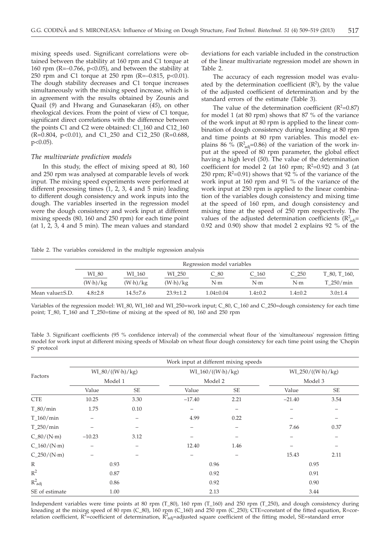mixing speeds used. Significant correlations were obtained between the stability at 160 rpm and C1 torque at 160 rpm (R=–0.766, p<0.05), and between the stability at 250 rpm and C1 torque at 250 rpm (R= $-0.815$ , p<0.01). The dough stability decreases and C1 torque increases simultaneously with the mixing speed increase, which is in agreement with the results obtained by Zounis and Quail (*9*) and Hwang and Gunasekaran (*45*), on other rheological devices. From the point of view of C1 torque, significant direct correlations with the difference between the points C1 and C2 were obtained: C1\_160 and C12\_160 (R=0.804, p<0.01), and C1\_250 and C12\_250 (R=0.688, p<0.05).

#### *The multivariate prediction models*

In this study, the effect of mixing speed at 80, 160 and 250 rpm was analysed at comparable levels of work input. The mixing speed experiments were performed at different processing times (1, 2, 3, 4 and 5 min) leading to different dough consistency and work inputs into the dough. The variables inserted in the regression model were the dough consistency and work input at different mixing speeds (80, 160 and 250 rpm) for each time point (at 1, 2, 3, 4 and 5 min). The mean values and standard deviations for each variable included in the construction of the linear multivariate regression model are shown in Table 2.

The accuracy of each regression model was evaluated by the determination coefficient  $(R^2)$ , by the value of the adjusted coefficient of determination and by the standard errors of the estimate (Table 3).

The value of the determination coefficient  $(R^2=0.87)$ for model 1 (at 80 rpm) shows that 87 % of the variance of the work input at 80 rpm is applied to the linear combination of dough consistency during kneading at 80 rpm and time points at 80 rpm variables. This model explains 86 % ( $\mathbb{R}^2$ <sub>adj</sub>=0.86) of the variation of the work input at the speed of 80 rpm parameter, the global effect having a high level (*50*). The value of the determination coefficient for model 2 (at 160 rpm;  $R^2=0.92$ ) and 3 (at 250 rpm;  $R^2$ =0.91) shows that 92 % of the variance of the work input at 160 rpm and 91 % of the variance of the work input at 250 rpm is applied to the linear combination of the variables dough consistency and mixing time at the speed of 160 rpm, and dough consistency and mixing time at the speed of 250 rpm respectively. The values of the adjusted determination coefficients  $(\mathrm{R}^2_{\mathrm{adj}} =$ 0.92 and 0.90) show that model 2 explains 92 % of the

Table 2. The variables considered in the multiple regression analysis

|                 | Regression model variables |                       |              |               |             |             |                |  |  |
|-----------------|----------------------------|-----------------------|--------------|---------------|-------------|-------------|----------------|--|--|
|                 | WI_80                      | WI 160                | WI_250       | $C_8$         | $C_1$ 160   | $C_250$     | $T_80, T_160,$ |  |  |
|                 | (W <sub>·</sub> h)/kg      | (W <sub>·</sub> h)/kg | $(W-h)/kg$   | N·m           | N·m         | N·m         | T 250/min      |  |  |
| Mean value±S.D. | $4.8 + 2.8$                | $14.5 + 7.6$          | $23.9 + 1.2$ | $1.04 + 0.04$ | $1.4 + 0.2$ | $1.4 + 0.2$ | $3.0+1.4$      |  |  |

Variables of the regression model: WI\_80, WI\_160 and WI\_250=work input; C\_80, C\_160 and C\_250=dough consistency for each time point; T\_80, T\_160 and T\_250=time of mixing at the speed of 80, 160 and 250 rpm

Table 3. Significant coefficients (95 % confidence interval) of the commercial wheat flour of the 'simultaneous' regression fitting model for work input at different mixing speeds of Mixolab on wheat flour dough consistency for each time point using the 'Chopin S' protocol

| Factors             | Work input at different mixing speeds |           |                     |           |                                |           |  |  |  |  |
|---------------------|---------------------------------------|-----------|---------------------|-----------|--------------------------------|-----------|--|--|--|--|
|                     | $WI_80/((W·h)/kg)$                    |           | $WI_160/((W·h)/kg)$ |           | $WI_250/((W·h)/kg)$<br>Model 3 |           |  |  |  |  |
|                     | Model 1                               |           | Model 2             |           |                                |           |  |  |  |  |
|                     | Value                                 | <b>SE</b> | Value               | <b>SE</b> | Value                          | <b>SE</b> |  |  |  |  |
| <b>CTE</b>          | 10.25                                 | 3.30      | $-17.40$            | 2.21      | $-21.40$                       | 3.54      |  |  |  |  |
| $T_80/min$          | 1.75                                  | 0.10      | -                   |           |                                |           |  |  |  |  |
| $T_160/min$         |                                       |           | 4.99                | 0.22      |                                |           |  |  |  |  |
| T 250/min           |                                       |           |                     |           | 7.66                           | 0.37      |  |  |  |  |
| $C_80/(N·m)$        | $-10.23$                              | 3.12      |                     |           |                                |           |  |  |  |  |
| $C_160/(N \cdot m)$ |                                       |           | 12.40               | 1.46      |                                | -         |  |  |  |  |
| $C_250/(N·m)$       |                                       |           |                     |           | 15.43                          | 2.11      |  |  |  |  |
| $\mathbb{R}$        | 0.93                                  |           | 0.96                |           | 0.95                           |           |  |  |  |  |
| $R^2$               | 0.87                                  |           | 0.92                |           | 0.91                           |           |  |  |  |  |
| $R^2$ adj           | 0.86                                  |           | 0.92                |           | 0.90                           |           |  |  |  |  |
| SE of estimate      | 1.00                                  |           | 2.13                |           | 3.44                           |           |  |  |  |  |

Independent variables were time points at 80 rpm (T\_80), 160 rpm (T\_160) and 250 rpm (T\_250), and dough consistency during kneading at the mixing speed of 80 rpm (C\_80), 160 rpm (C\_160) and 250 rpm (C\_250); CTE=constant of the fitted equation, R=correlation coefficient,  $R^2$ =coefficient of determination,  $R^2$ <sub>adj</sub>=adjusted square coefficient of the fitting model, SE=standard error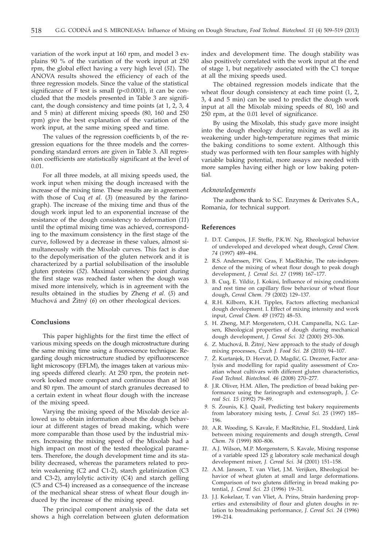variation of the work input at 160 rpm, and model 3 explains 90 % of the variation of the work input at 250 rpm, the global effect having a very high level (*51*). The ANOVA results showed the efficiency of each of the three regression models. Since the value of the statistical significance of  $F$  test is small ( $p<0.0001$ ), it can be concluded that the models presented in Table 3 are significant, the dough consistency and time points (at 1, 2, 3, 4 and 5 min) at different mixing speeds (80, 160 and 250 rpm) give the best explanation of the variation of the work input, at the same mixing speed and time.

The values of the regression coefficients  $b_i$  of the regression equations for the three models and the corresponding standard errors are given in Table 3. All regression coefficients are statistically significant at the level of 0.01.

For all three models, at all mixing speeds used, the work input when mixing the dough increased with the increase of the mixing time. These results are in agreement with those of Cuq *et al.* (*3*) (measured by the farinograph). The increase of the mixing time and thus of the dough work input led to an exponential increase of the resistance of the dough consistency to deformation (*11*) until the optimal mixing time was achieved, corresponding to the maximum consistency in the first stage of the curve, followed by a decrease in these values, almost simultaneously with the Mixolab curves. This fact is due to the depolymerisation of the gluten network and it is characterized by a partial solubilisation of the insoluble gluten proteins (*52*). Maximal consistency point during the first stage was reached faster when the dough was mixed more intensively, which is in agreement with the results obtained in the studies by Zheng *et al.* (*5*) and Muchová and Žitný (6) on other rheological devices.

#### **Conclusions**

This paper highlights for the first time the effect of various mixing speeds on the dough microstructure during the same mixing time using a fluorescence technique. Regarding dough microstructure studied by epifluorescence light microscopy (EFLM), the images taken at various mixing speeds differed clearly. At 250 rpm, the protein network looked more compact and continuous than at 160 and 80 rpm. The amount of starch granules decreased to a certain extent in wheat flour dough with the increase of the mixing speed.

Varying the mixing speed of the Mixolab device allowed us to obtain information about the dough behaviour at different stages of bread making, which were more comparable than those used by the industrial mixers. Increasing the mixing speed of the Mixolab had a high impact on most of the tested rheological parameters. Therefore, the dough development time and its stability decreased, whereas the parameters related to protein weakening (C2 and C1-2), starch gelatinization (C3 and C3-2), amylolytic activity (C4) and starch gelling (C5 and C5-4) increased as a consequence of the increase of the mechanical shear stress of wheat flour dough induced by the increase of the mixing speed.

The principal component analysis of the data set shows a high correlation between gluten deformation index and development time. The dough stability was also positively correlated with the work input at the end of stage 1, but negatively associated with the C1 torque at all the mixing speeds used.

The obtained regression models indicate that the wheat flour dough consistency at each time point (1, 2, 3, 4 and 5 min) can be used to predict the dough work input at all the Mixolab mixing speeds of 80, 160 and 250 rpm, at the 0.01 level of significance.

By using the Mixolab, this study gave more insight into the dough rheology during mixing as well as its weakening under high-temperature regimes that mimic the baking conditions to some extent. Although this study was performed with ten flour samples with highly variable baking potential, more assays are needed with more samples having either high or low baking potential.

## *Acknowledgements*

The authors thank to S.C. Enzymes & Derivates S.A., Romania, for technical support.

#### **References**

- *1.* D.T. Campos, J.F. Steffe, P.K.W. Ng, Rheological behavior of undeveloped and developed wheat dough, *Cereal Chem. 74* (1997) 489–494.
- *2.* R.S. Anderssen, P.W. Gras, F. MacRitchie, The rate-independence of the mixing of wheat flour dough to peak dough development, *J. Cereal Sci. 27* (1998) 167–177.
- *3.* B. Cuq, E. Yildiz, J. Kokini, Influence of mixing conditions and rest time on capillary flow behaviour of wheat flour dough, *Cereal Chem. 79* (2002) 129–137.
- *4.* R.H. Kilborn, K.H. Tipples, Factors affecting mechanical dough development. I. Effect of mixing intensity and work input, *Cereal Chem. 49* (1972) 48–53.
- *5.* H. Zheng, M.P. Morgenstern, O.H. Campanella, N.G. Larsen, Rheological properties of dough during mechanical dough development, *J. Cereal Sci. 32* (2000) 293–306.
- 6. Z. Muchová, B. Žitný, New approach to the study of dough mixing processes, *Czech J. Food Sci. 28* (2010) 94–107.
- 7. Ž. Kurtanjek, D. Horvat, D. Magdić, G. Drezner, Factor analysis and modelling for rapid quality assessment of Croatian wheat cultivars with different gluten characteristics, *Food Technol. Biotechnol. 46* (2008) 270–277.
- *8.* J.R. Oliver, H.M. Allen, The prediction of bread baking performance using the farinograph and extensograph, *J. Cereal Sci. 15* (1992) 79–89.
- *9.* S. Zounis, K.J. Quail, Predicting test bakery requirements from laboratory mixing tests, *J. Cereal Sci. 25* (1997) 185– 196.
- *10.* A.R. Wooding, S. Kavale, F. MacRitchie, F.L. Stoddard, Link between mixing requirements and dough strength, *Cereal Chem. 76* (1999) 800–806.
- *11.* A.J. Wilson, M.P. Morgenstern, S. Kavale, Mixing response of a variable speed 125 g laboratory scale mechanical dough development mixer, *J. Cereal Sci. 34* (2001) 151–158.
- *12.* A.M. Janssen, T. van Vliet, J.M. Verijken, Rheological behavior of wheat gluten at small and large deformations. Comparison of two glutens differing in bread making potential, *J. Cereal Sci. 23* (1996) 19–31.
- *13.* J.J. Kokelaar, T. van Vliet, A. Prins, Strain hardening properties and extensibility of flour and gluten doughs in relation to breadmaking performance, *J. Cereal Sci. 24* (1996) 199–214.